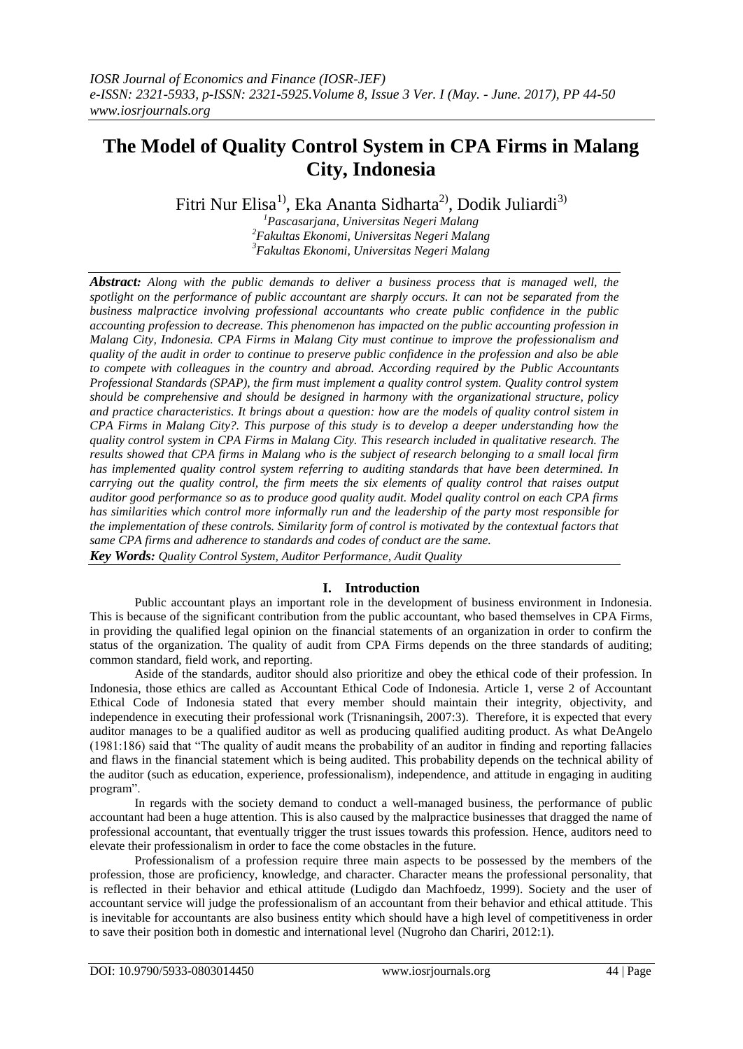# **The Model of Quality Control System in CPA Firms in Malang City, Indonesia**

Fitri Nur Elisa<sup>1)</sup>, Eka Ananta Sidharta<sup>2)</sup>, Dodik Juliardi<sup>3)</sup>

*<sup>1</sup>Pascasarjana, Universitas Negeri Malang <sup>2</sup>Fakultas Ekonomi, Universitas Negeri Malang <sup>3</sup>Fakultas Ekonomi, Universitas Negeri Malang*

*Abstract: Along with the public demands to deliver a business process that is managed well, the spotlight on the performance of public accountant are sharply occurs. It can not be separated from the business malpractice involving professional accountants who create public confidence in the public accounting profession to decrease. This phenomenon has impacted on the public accounting profession in Malang City, Indonesia. CPA Firms in Malang City must continue to improve the professionalism and quality of the audit in order to continue to preserve public confidence in the profession and also be able to compete with colleagues in the country and abroad. According required by the Public Accountants Professional Standards (SPAP), the firm must implement a quality control system. Quality control system should be comprehensive and should be designed in harmony with the organizational structure, policy and practice characteristics. It brings about a question: how are the models of quality control sistem in CPA Firms in Malang City?. This purpose of this study is to develop a deeper understanding how the quality control system in CPA Firms in Malang City. This research included in qualitative research. The results showed that CPA firms in Malang who is the subject of research belonging to a small local firm has implemented quality control system referring to auditing standards that have been determined. In carrying out the quality control, the firm meets the six elements of quality control that raises output auditor good performance so as to produce good quality audit. Model quality control on each CPA firms has similarities which control more informally run and the leadership of the party most responsible for the implementation of these controls. Similarity form of control is motivated by the contextual factors that same CPA firms and adherence to standards and codes of conduct are the same. Key Words: Quality Control System, Auditor Performance, Audit Quality*

# **I. Introduction**

Public accountant plays an important role in the development of business environment in Indonesia. This is because of the significant contribution from the public accountant, who based themselves in CPA Firms, in providing the qualified legal opinion on the financial statements of an organization in order to confirm the status of the organization. The quality of audit from CPA Firms depends on the three standards of auditing; common standard, field work, and reporting.

Aside of the standards, auditor should also prioritize and obey the ethical code of their profession. In Indonesia, those ethics are called as Accountant Ethical Code of Indonesia. Article 1, verse 2 of Accountant Ethical Code of Indonesia stated that every member should maintain their integrity, objectivity, and independence in executing their professional work (Trisnaningsih, 2007:3). Therefore, it is expected that every auditor manages to be a qualified auditor as well as producing qualified auditing product. As what DeAngelo (1981:186) said that "The quality of audit means the probability of an auditor in finding and reporting fallacies and flaws in the financial statement which is being audited. This probability depends on the technical ability of the auditor (such as education, experience, professionalism), independence, and attitude in engaging in auditing program".

In regards with the society demand to conduct a well-managed business, the performance of public accountant had been a huge attention. This is also caused by the malpractice businesses that dragged the name of professional accountant, that eventually trigger the trust issues towards this profession. Hence, auditors need to elevate their professionalism in order to face the come obstacles in the future.

Professionalism of a profession require three main aspects to be possessed by the members of the profession, those are proficiency, knowledge, and character. Character means the professional personality, that is reflected in their behavior and ethical attitude (Ludigdo dan Machfoedz, 1999). Society and the user of accountant service will judge the professionalism of an accountant from their behavior and ethical attitude. This is inevitable for accountants are also business entity which should have a high level of competitiveness in order to save their position both in domestic and international level (Nugroho dan Chariri, 2012:1).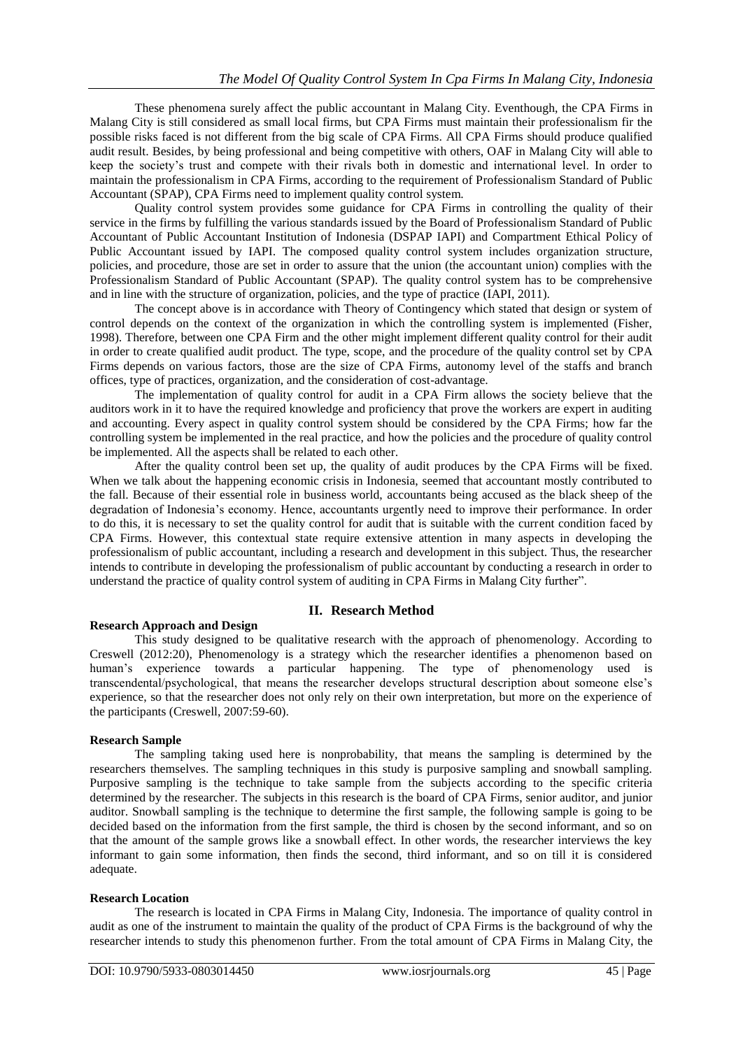These phenomena surely affect the public accountant in Malang City. Eventhough, the CPA Firms in Malang City is still considered as small local firms, but CPA Firms must maintain their professionalism fir the possible risks faced is not different from the big scale of CPA Firms. All CPA Firms should produce qualified audit result. Besides, by being professional and being competitive with others, OAF in Malang City will able to keep the society's trust and compete with their rivals both in domestic and international level. In order to maintain the professionalism in CPA Firms, according to the requirement of Professionalism Standard of Public Accountant (SPAP), CPA Firms need to implement quality control system.

Quality control system provides some guidance for CPA Firms in controlling the quality of their service in the firms by fulfilling the various standards issued by the Board of Professionalism Standard of Public Accountant of Public Accountant Institution of Indonesia (DSPAP IAPI) and Compartment Ethical Policy of Public Accountant issued by IAPI. The composed quality control system includes organization structure, policies, and procedure, those are set in order to assure that the union (the accountant union) complies with the Professionalism Standard of Public Accountant (SPAP). The quality control system has to be comprehensive and in line with the structure of organization, policies, and the type of practice (IAPI, 2011).

The concept above is in accordance with Theory of Contingency which stated that design or system of control depends on the context of the organization in which the controlling system is implemented (Fisher, 1998). Therefore, between one CPA Firm and the other might implement different quality control for their audit in order to create qualified audit product. The type, scope, and the procedure of the quality control set by CPA Firms depends on various factors, those are the size of CPA Firms, autonomy level of the staffs and branch offices, type of practices, organization, and the consideration of cost-advantage.

The implementation of quality control for audit in a CPA Firm allows the society believe that the auditors work in it to have the required knowledge and proficiency that prove the workers are expert in auditing and accounting. Every aspect in quality control system should be considered by the CPA Firms; how far the controlling system be implemented in the real practice, and how the policies and the procedure of quality control be implemented. All the aspects shall be related to each other.

After the quality control been set up, the quality of audit produces by the CPA Firms will be fixed. When we talk about the happening economic crisis in Indonesia, seemed that accountant mostly contributed to the fall. Because of their essential role in business world, accountants being accused as the black sheep of the degradation of Indonesia's economy. Hence, accountants urgently need to improve their performance. In order to do this, it is necessary to set the quality control for audit that is suitable with the current condition faced by CPA Firms. However, this contextual state require extensive attention in many aspects in developing the professionalism of public accountant, including a research and development in this subject. Thus, the researcher intends to contribute in developing the professionalism of public accountant by conducting a research in order to understand the practice of quality control system of auditing in CPA Firms in Malang City further".

# **II. Research Method**

#### **Research Approach and Design**

This study designed to be qualitative research with the approach of phenomenology. According to Creswell (2012:20), Phenomenology is a strategy which the researcher identifies a phenomenon based on human's experience towards a particular happening. The type of phenomenology used is transcendental/psychological, that means the researcher develops structural description about someone else's experience, so that the researcher does not only rely on their own interpretation, but more on the experience of the participants (Creswell, 2007:59-60).

#### **Research Sample**

The sampling taking used here is nonprobability, that means the sampling is determined by the researchers themselves. The sampling techniques in this study is purposive sampling and snowball sampling. Purposive sampling is the technique to take sample from the subjects according to the specific criteria determined by the researcher. The subjects in this research is the board of CPA Firms, senior auditor, and junior auditor. Snowball sampling is the technique to determine the first sample, the following sample is going to be decided based on the information from the first sample, the third is chosen by the second informant, and so on that the amount of the sample grows like a snowball effect. In other words, the researcher interviews the key informant to gain some information, then finds the second, third informant, and so on till it is considered adequate.

#### **Research Location**

The research is located in CPA Firms in Malang City, Indonesia. The importance of quality control in audit as one of the instrument to maintain the quality of the product of CPA Firms is the background of why the researcher intends to study this phenomenon further. From the total amount of CPA Firms in Malang City, the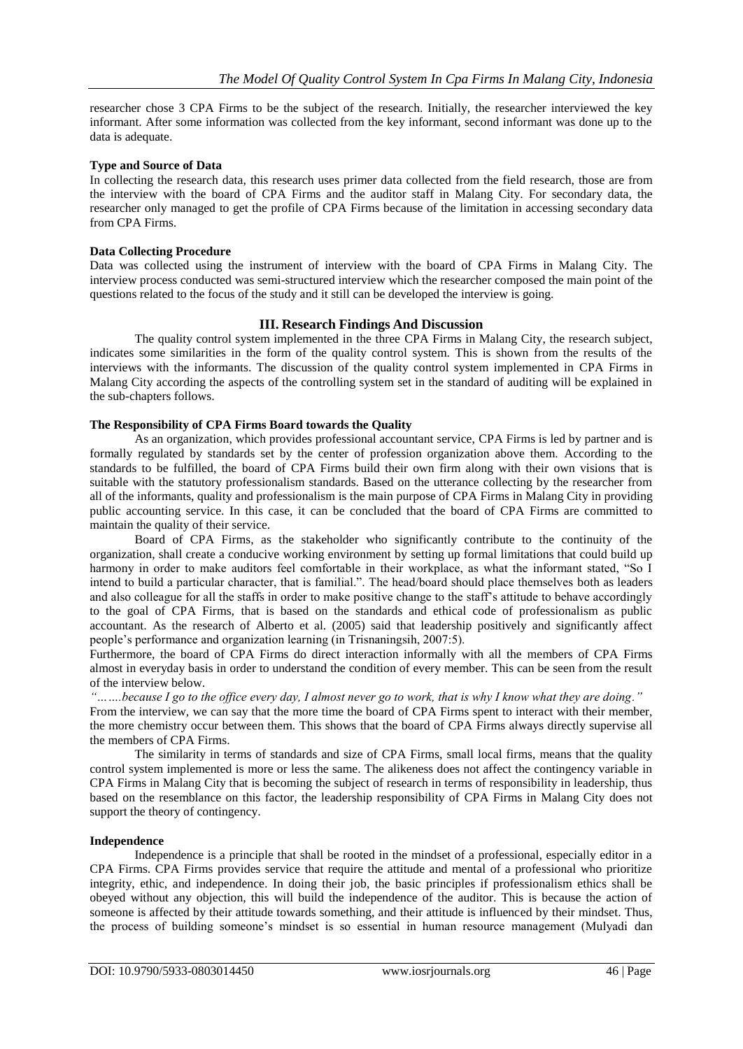researcher chose 3 CPA Firms to be the subject of the research. Initially, the researcher interviewed the key informant. After some information was collected from the key informant, second informant was done up to the data is adequate.

## **Type and Source of Data**

In collecting the research data, this research uses primer data collected from the field research, those are from the interview with the board of CPA Firms and the auditor staff in Malang City. For secondary data, the researcher only managed to get the profile of CPA Firms because of the limitation in accessing secondary data from CPA Firms.

## **Data Collecting Procedure**

Data was collected using the instrument of interview with the board of CPA Firms in Malang City. The interview process conducted was semi-structured interview which the researcher composed the main point of the questions related to the focus of the study and it still can be developed the interview is going.

## **III. Research Findings And Discussion**

The quality control system implemented in the three CPA Firms in Malang City, the research subject, indicates some similarities in the form of the quality control system. This is shown from the results of the interviews with the informants. The discussion of the quality control system implemented in CPA Firms in Malang City according the aspects of the controlling system set in the standard of auditing will be explained in the sub-chapters follows.

## **The Responsibility of CPA Firms Board towards the Quality**

As an organization, which provides professional accountant service, CPA Firms is led by partner and is formally regulated by standards set by the center of profession organization above them. According to the standards to be fulfilled, the board of CPA Firms build their own firm along with their own visions that is suitable with the statutory professionalism standards. Based on the utterance collecting by the researcher from all of the informants, quality and professionalism is the main purpose of CPA Firms in Malang City in providing public accounting service. In this case, it can be concluded that the board of CPA Firms are committed to maintain the quality of their service.

Board of CPA Firms, as the stakeholder who significantly contribute to the continuity of the organization, shall create a conducive working environment by setting up formal limitations that could build up harmony in order to make auditors feel comfortable in their workplace, as what the informant stated, "So I intend to build a particular character, that is familial.". The head/board should place themselves both as leaders and also colleague for all the staffs in order to make positive change to the staff's attitude to behave accordingly to the goal of CPA Firms, that is based on the standards and ethical code of professionalism as public accountant. As the research of Alberto et al. (2005) said that leadership positively and significantly affect people's performance and organization learning (in Trisnaningsih, 2007:5).

Furthermore, the board of CPA Firms do direct interaction informally with all the members of CPA Firms almost in everyday basis in order to understand the condition of every member. This can be seen from the result of the interview below.

*"…….because I go to the office every day, I almost never go to work, that is why I know what they are doing."* From the interview, we can say that the more time the board of CPA Firms spent to interact with their member, the more chemistry occur between them. This shows that the board of CPA Firms always directly supervise all the members of CPA Firms.

The similarity in terms of standards and size of CPA Firms, small local firms, means that the quality control system implemented is more or less the same. The alikeness does not affect the contingency variable in CPA Firms in Malang City that is becoming the subject of research in terms of responsibility in leadership, thus based on the resemblance on this factor, the leadership responsibility of CPA Firms in Malang City does not support the theory of contingency.

#### **Independence**

Independence is a principle that shall be rooted in the mindset of a professional, especially editor in a CPA Firms. CPA Firms provides service that require the attitude and mental of a professional who prioritize integrity, ethic, and independence. In doing their job, the basic principles if professionalism ethics shall be obeyed without any objection, this will build the independence of the auditor. This is because the action of someone is affected by their attitude towards something, and their attitude is influenced by their mindset. Thus, the process of building someone's mindset is so essential in human resource management (Mulyadi dan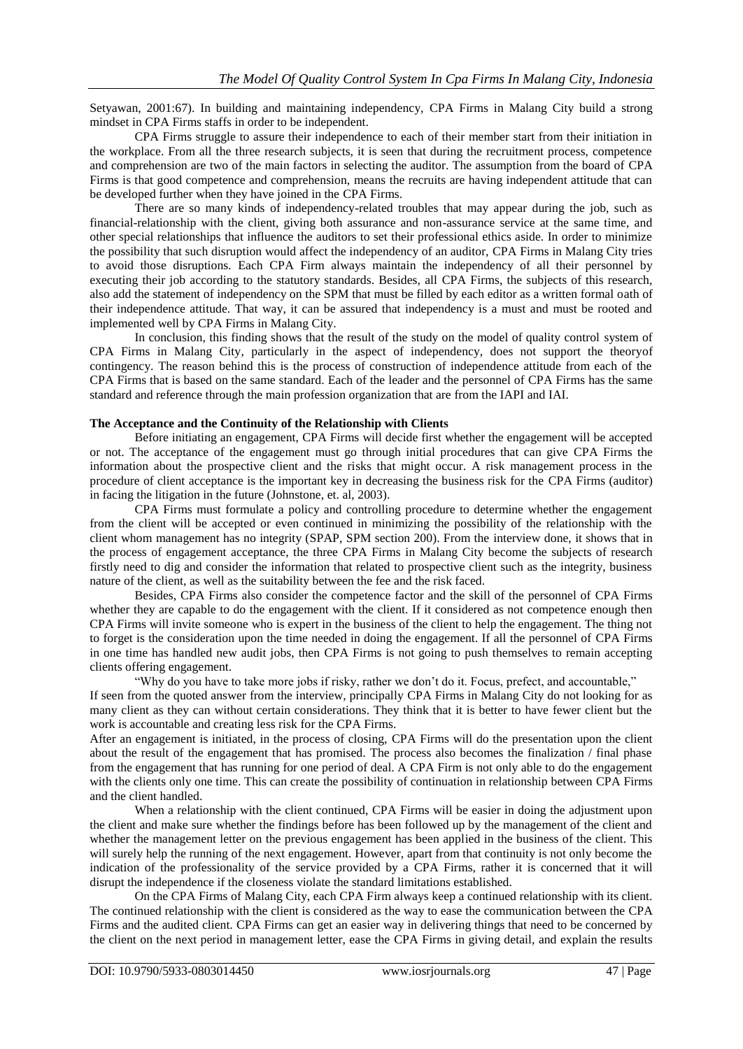Setyawan, 2001:67). In building and maintaining independency, CPA Firms in Malang City build a strong mindset in CPA Firms staffs in order to be independent.

CPA Firms struggle to assure their independence to each of their member start from their initiation in the workplace. From all the three research subjects, it is seen that during the recruitment process, competence and comprehension are two of the main factors in selecting the auditor. The assumption from the board of CPA Firms is that good competence and comprehension, means the recruits are having independent attitude that can be developed further when they have joined in the CPA Firms.

There are so many kinds of independency-related troubles that may appear during the job, such as financial-relationship with the client, giving both assurance and non-assurance service at the same time, and other special relationships that influence the auditors to set their professional ethics aside. In order to minimize the possibility that such disruption would affect the independency of an auditor, CPA Firms in Malang City tries to avoid those disruptions. Each CPA Firm always maintain the independency of all their personnel by executing their job according to the statutory standards. Besides, all CPA Firms, the subjects of this research, also add the statement of independency on the SPM that must be filled by each editor as a written formal oath of their independence attitude. That way, it can be assured that independency is a must and must be rooted and implemented well by CPA Firms in Malang City.

In conclusion, this finding shows that the result of the study on the model of quality control system of CPA Firms in Malang City, particularly in the aspect of independency, does not support the theoryof contingency. The reason behind this is the process of construction of independence attitude from each of the CPA Firms that is based on the same standard. Each of the leader and the personnel of CPA Firms has the same standard and reference through the main profession organization that are from the IAPI and IAI.

#### **The Acceptance and the Continuity of the Relationship with Clients**

Before initiating an engagement, CPA Firms will decide first whether the engagement will be accepted or not. The acceptance of the engagement must go through initial procedures that can give CPA Firms the information about the prospective client and the risks that might occur. A risk management process in the procedure of client acceptance is the important key in decreasing the business risk for the CPA Firms (auditor) in facing the litigation in the future (Johnstone, et. al, 2003).

CPA Firms must formulate a policy and controlling procedure to determine whether the engagement from the client will be accepted or even continued in minimizing the possibility of the relationship with the client whom management has no integrity (SPAP, SPM section 200). From the interview done, it shows that in the process of engagement acceptance, the three CPA Firms in Malang City become the subjects of research firstly need to dig and consider the information that related to prospective client such as the integrity, business nature of the client, as well as the suitability between the fee and the risk faced.

Besides, CPA Firms also consider the competence factor and the skill of the personnel of CPA Firms whether they are capable to do the engagement with the client. If it considered as not competence enough then CPA Firms will invite someone who is expert in the business of the client to help the engagement. The thing not to forget is the consideration upon the time needed in doing the engagement. If all the personnel of CPA Firms in one time has handled new audit jobs, then CPA Firms is not going to push themselves to remain accepting clients offering engagement.

"Why do you have to take more jobs if risky, rather we don't do it. Focus, prefect, and accountable," If seen from the quoted answer from the interview, principally CPA Firms in Malang City do not looking for as many client as they can without certain considerations. They think that it is better to have fewer client but the

work is accountable and creating less risk for the CPA Firms. After an engagement is initiated, in the process of closing, CPA Firms will do the presentation upon the client about the result of the engagement that has promised. The process also becomes the finalization / final phase from the engagement that has running for one period of deal. A CPA Firm is not only able to do the engagement with the clients only one time. This can create the possibility of continuation in relationship between CPA Firms and the client handled.

When a relationship with the client continued, CPA Firms will be easier in doing the adjustment upon the client and make sure whether the findings before has been followed up by the management of the client and whether the management letter on the previous engagement has been applied in the business of the client. This will surely help the running of the next engagement. However, apart from that continuity is not only become the indication of the professionality of the service provided by a CPA Firms, rather it is concerned that it will disrupt the independence if the closeness violate the standard limitations established.

On the CPA Firms of Malang City, each CPA Firm always keep a continued relationship with its client. The continued relationship with the client is considered as the way to ease the communication between the CPA Firms and the audited client. CPA Firms can get an easier way in delivering things that need to be concerned by the client on the next period in management letter, ease the CPA Firms in giving detail, and explain the results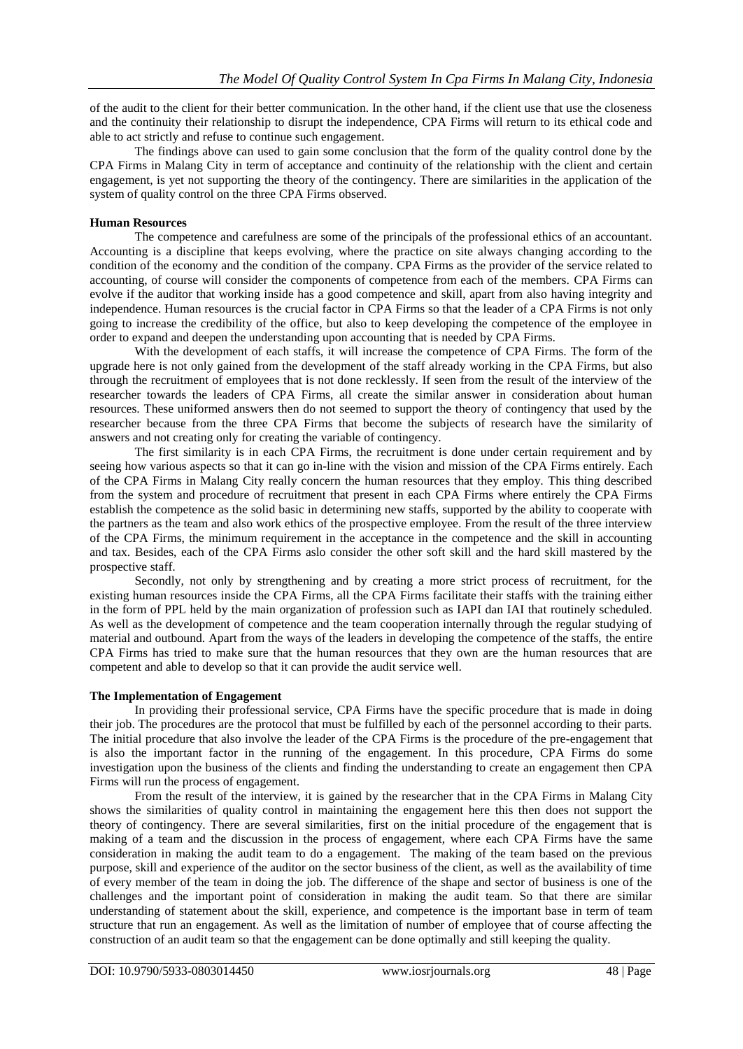of the audit to the client for their better communication. In the other hand, if the client use that use the closeness and the continuity their relationship to disrupt the independence, CPA Firms will return to its ethical code and able to act strictly and refuse to continue such engagement.

The findings above can used to gain some conclusion that the form of the quality control done by the CPA Firms in Malang City in term of acceptance and continuity of the relationship with the client and certain engagement, is yet not supporting the theory of the contingency. There are similarities in the application of the system of quality control on the three CPA Firms observed.

### **Human Resources**

The competence and carefulness are some of the principals of the professional ethics of an accountant. Accounting is a discipline that keeps evolving, where the practice on site always changing according to the condition of the economy and the condition of the company. CPA Firms as the provider of the service related to accounting, of course will consider the components of competence from each of the members. CPA Firms can evolve if the auditor that working inside has a good competence and skill, apart from also having integrity and independence. Human resources is the crucial factor in CPA Firms so that the leader of a CPA Firms is not only going to increase the credibility of the office, but also to keep developing the competence of the employee in order to expand and deepen the understanding upon accounting that is needed by CPA Firms.

With the development of each staffs, it will increase the competence of CPA Firms. The form of the upgrade here is not only gained from the development of the staff already working in the CPA Firms, but also through the recruitment of employees that is not done recklessly. If seen from the result of the interview of the researcher towards the leaders of CPA Firms, all create the similar answer in consideration about human resources. These uniformed answers then do not seemed to support the theory of contingency that used by the researcher because from the three CPA Firms that become the subjects of research have the similarity of answers and not creating only for creating the variable of contingency.

The first similarity is in each CPA Firms, the recruitment is done under certain requirement and by seeing how various aspects so that it can go in-line with the vision and mission of the CPA Firms entirely. Each of the CPA Firms in Malang City really concern the human resources that they employ. This thing described from the system and procedure of recruitment that present in each CPA Firms where entirely the CPA Firms establish the competence as the solid basic in determining new staffs, supported by the ability to cooperate with the partners as the team and also work ethics of the prospective employee. From the result of the three interview of the CPA Firms, the minimum requirement in the acceptance in the competence and the skill in accounting and tax. Besides, each of the CPA Firms aslo consider the other soft skill and the hard skill mastered by the prospective staff.

Secondly, not only by strengthening and by creating a more strict process of recruitment, for the existing human resources inside the CPA Firms, all the CPA Firms facilitate their staffs with the training either in the form of PPL held by the main organization of profession such as IAPI dan IAI that routinely scheduled. As well as the development of competence and the team cooperation internally through the regular studying of material and outbound. Apart from the ways of the leaders in developing the competence of the staffs, the entire CPA Firms has tried to make sure that the human resources that they own are the human resources that are competent and able to develop so that it can provide the audit service well.

#### **The Implementation of Engagement**

In providing their professional service, CPA Firms have the specific procedure that is made in doing their job. The procedures are the protocol that must be fulfilled by each of the personnel according to their parts. The initial procedure that also involve the leader of the CPA Firms is the procedure of the pre-engagement that is also the important factor in the running of the engagement. In this procedure, CPA Firms do some investigation upon the business of the clients and finding the understanding to create an engagement then CPA Firms will run the process of engagement.

From the result of the interview, it is gained by the researcher that in the CPA Firms in Malang City shows the similarities of quality control in maintaining the engagement here this then does not support the theory of contingency. There are several similarities, first on the initial procedure of the engagement that is making of a team and the discussion in the process of engagement, where each CPA Firms have the same consideration in making the audit team to do a engagement. The making of the team based on the previous purpose, skill and experience of the auditor on the sector business of the client, as well as the availability of time of every member of the team in doing the job. The difference of the shape and sector of business is one of the challenges and the important point of consideration in making the audit team. So that there are similar understanding of statement about the skill, experience, and competence is the important base in term of team structure that run an engagement. As well as the limitation of number of employee that of course affecting the construction of an audit team so that the engagement can be done optimally and still keeping the quality.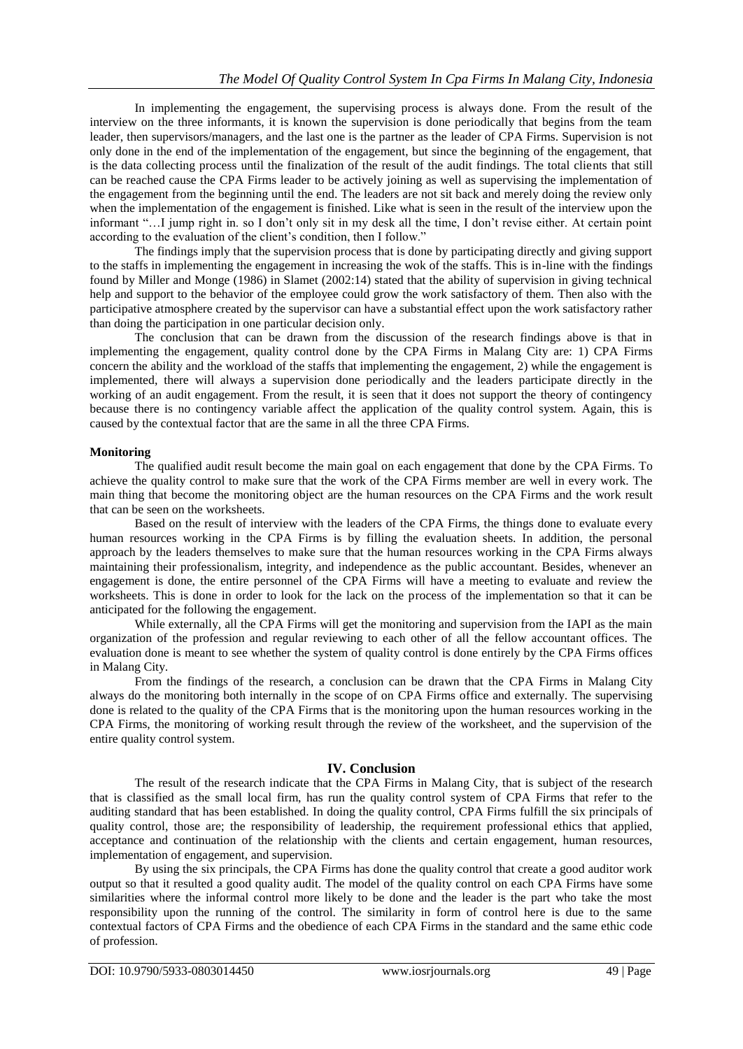In implementing the engagement, the supervising process is always done. From the result of the interview on the three informants, it is known the supervision is done periodically that begins from the team leader, then supervisors/managers, and the last one is the partner as the leader of CPA Firms. Supervision is not only done in the end of the implementation of the engagement, but since the beginning of the engagement, that is the data collecting process until the finalization of the result of the audit findings. The total clients that still can be reached cause the CPA Firms leader to be actively joining as well as supervising the implementation of the engagement from the beginning until the end. The leaders are not sit back and merely doing the review only when the implementation of the engagement is finished. Like what is seen in the result of the interview upon the informant "…I jump right in. so I don't only sit in my desk all the time, I don't revise either. At certain point according to the evaluation of the client's condition, then I follow."

The findings imply that the supervision process that is done by participating directly and giving support to the staffs in implementing the engagement in increasing the wok of the staffs. This is in-line with the findings found by Miller and Monge (1986) in Slamet (2002:14) stated that the ability of supervision in giving technical help and support to the behavior of the employee could grow the work satisfactory of them. Then also with the participative atmosphere created by the supervisor can have a substantial effect upon the work satisfactory rather than doing the participation in one particular decision only.

The conclusion that can be drawn from the discussion of the research findings above is that in implementing the engagement, quality control done by the CPA Firms in Malang City are: 1) CPA Firms concern the ability and the workload of the staffs that implementing the engagement, 2) while the engagement is implemented, there will always a supervision done periodically and the leaders participate directly in the working of an audit engagement. From the result, it is seen that it does not support the theory of contingency because there is no contingency variable affect the application of the quality control system. Again, this is caused by the contextual factor that are the same in all the three CPA Firms.

#### **Monitoring**

The qualified audit result become the main goal on each engagement that done by the CPA Firms. To achieve the quality control to make sure that the work of the CPA Firms member are well in every work. The main thing that become the monitoring object are the human resources on the CPA Firms and the work result that can be seen on the worksheets.

Based on the result of interview with the leaders of the CPA Firms, the things done to evaluate every human resources working in the CPA Firms is by filling the evaluation sheets. In addition, the personal approach by the leaders themselves to make sure that the human resources working in the CPA Firms always maintaining their professionalism, integrity, and independence as the public accountant. Besides, whenever an engagement is done, the entire personnel of the CPA Firms will have a meeting to evaluate and review the worksheets. This is done in order to look for the lack on the process of the implementation so that it can be anticipated for the following the engagement.

While externally, all the CPA Firms will get the monitoring and supervision from the IAPI as the main organization of the profession and regular reviewing to each other of all the fellow accountant offices. The evaluation done is meant to see whether the system of quality control is done entirely by the CPA Firms offices in Malang City.

From the findings of the research, a conclusion can be drawn that the CPA Firms in Malang City always do the monitoring both internally in the scope of on CPA Firms office and externally. The supervising done is related to the quality of the CPA Firms that is the monitoring upon the human resources working in the CPA Firms, the monitoring of working result through the review of the worksheet, and the supervision of the entire quality control system.

# **IV. Conclusion**

The result of the research indicate that the CPA Firms in Malang City, that is subject of the research that is classified as the small local firm, has run the quality control system of CPA Firms that refer to the auditing standard that has been established. In doing the quality control, CPA Firms fulfill the six principals of quality control, those are; the responsibility of leadership, the requirement professional ethics that applied, acceptance and continuation of the relationship with the clients and certain engagement, human resources, implementation of engagement, and supervision.

By using the six principals, the CPA Firms has done the quality control that create a good auditor work output so that it resulted a good quality audit. The model of the quality control on each CPA Firms have some similarities where the informal control more likely to be done and the leader is the part who take the most responsibility upon the running of the control. The similarity in form of control here is due to the same contextual factors of CPA Firms and the obedience of each CPA Firms in the standard and the same ethic code of profession.